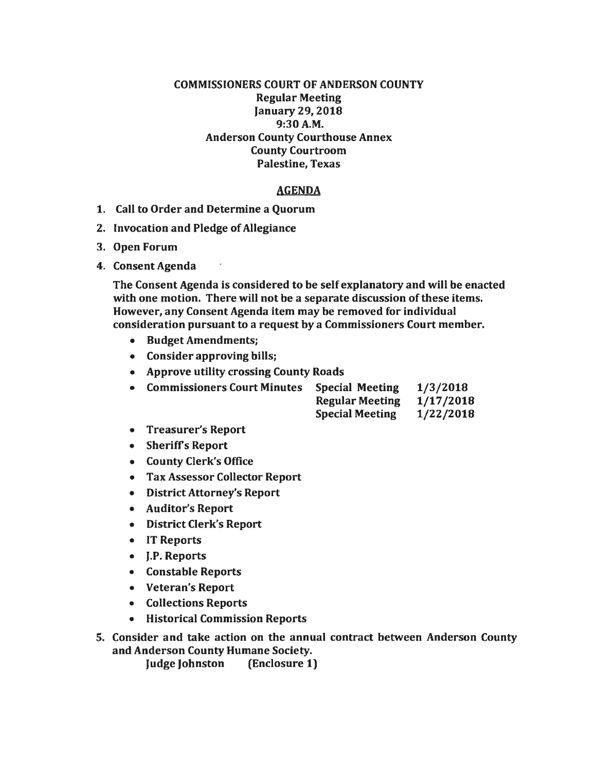## COMMISSIONERS COURT OF ANDERSON COUNTY Regular Meeting January 29, 2018 9:30A.M. Anderson County Courthouse Annex County Courtroom Palestine, Texas

## AGENDA

- 1. Call to Order and Determine a Quorum
- 2. Invocation and Pledge of Allegiance
- 3. Open Forum
- 4. Consent Agenda

The Consent Agenda is considered to be self explanatory and will be enacted with one motion. There will not be a separate discussion of these items. However, any Consent Agenda item may be removed for individual consideration pursuant to a request by a Commissioners Court member.

- Budget Amendments;
- Consider approving bills;
- Approve utility crossing County Roads

| • Commissioners Court Minutes Special Meeting | 1/3/2018 |
|-----------------------------------------------|----------|
|                                               |          |

| <b>Regular Meeting</b> | 1/17/2018 |
|------------------------|-----------|
| <b>Special Meeting</b> | 1/22/2018 |

- Treasurer's Report
- Sheriffs Report
- County Clerk's Office
- Tax Assessor Collector Report
- District Attorney's Report
- Auditor's Report
- District Clerk's Report
- IT Reports
- J.P. Reports
- Constable Reports
- Veteran's Report
- Collections Reports
- Historical Commission Reports
- 5. Consider and take action on the annual contract between Anderson County and Anderson County Humane Society.

Judge Johnston (Enclosure 1)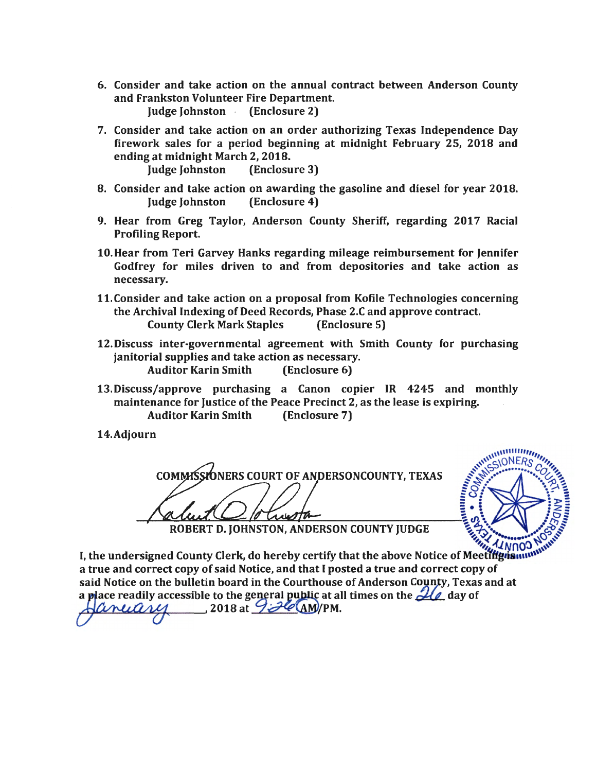- 6. Consider and take action on the annual contract between Anderson County and Frankston Volunteer Fire Department. Judge Johnston - (Enclosure 2)
- 7. Consider and take action on an order authorizing Texas Independence Day firework sales for a period beginning at midnight February 25, 2018 and ending at midnight March 2, 2018. Judge Johnston (Enclosure 3)

- 8. Consider and take action on awarding the gasoline and diesel for year 2018. Judge Johnston (Enclosure 4)
- 9. Hear from Greg Taylor, Anderson County Sheriff, regarding 2017 Racial Profiling Report.
- 10.Hear from Teri Garvey Hanks regarding mileage reimbursement for Jennifer Godfrey for miles driven to and from depositories and take action as necessary.
- 11.Consider and take action on a proposal from Kofile Technologies concerning the Archival Indexing of Deed Records, Phase 2.C and approve contract. County Clerk Mark Staples (Enclosure 5)
- 12.Discuss inter·governmental agreement with Smith County for purchasing janitorial supplies and take action as necessary. Auditor Karin Smith (Enclosure 6)
- 13.Discuss/approve purchasing a Canon copier IR 4245 and monthly maintenance for Justice of the Peace Precinct 2, as the lease is expiring. Auditor Karin Smith (Enclosure 7)
- 14.Adjourn

COMMISSIONERS COURT OF ANDERSONCOUNTY, TEXAS SAN ANDERSONCERS



ROBERT D. JOHNSTON, ANDERSON COUNTY JUDGE

I, the undersigned County Clerk, do hereby certify that the above Notice of Meetifigua. I<br>a true and correct copy of said Notice, and that I posted a true and correct copy of a true and correct copy of said Notice, and that I posted a true and correct copy of said Notice on the bulletin board in the Courthouse of Anderson County, Texas and at a place readily accessible to the general public at all times on the  $\mathcal{U}_\ell$  day of

 $\sim$  2018 at  $\mathcal{L}$   $\mathcal{L}$   $\mathcal{L}$   $\mathcal{L}$   $\mathcal{L}$   $\mathcal{L}$   $\mathcal{L}$   $\mathcal{L}$   $\mathcal{L}$   $\mathcal{L}$   $\mathcal{L}$   $\mathcal{L}$   $\mathcal{L}$   $\mathcal{L}$   $\mathcal{L}$   $\mathcal{L}$   $\mathcal{L}$   $\mathcal{L}$   $\mathcal{L}$   $\mathcal{L}$   $\mathcal{L}$   $\mathcal{L}$   $\mathcal{L}$